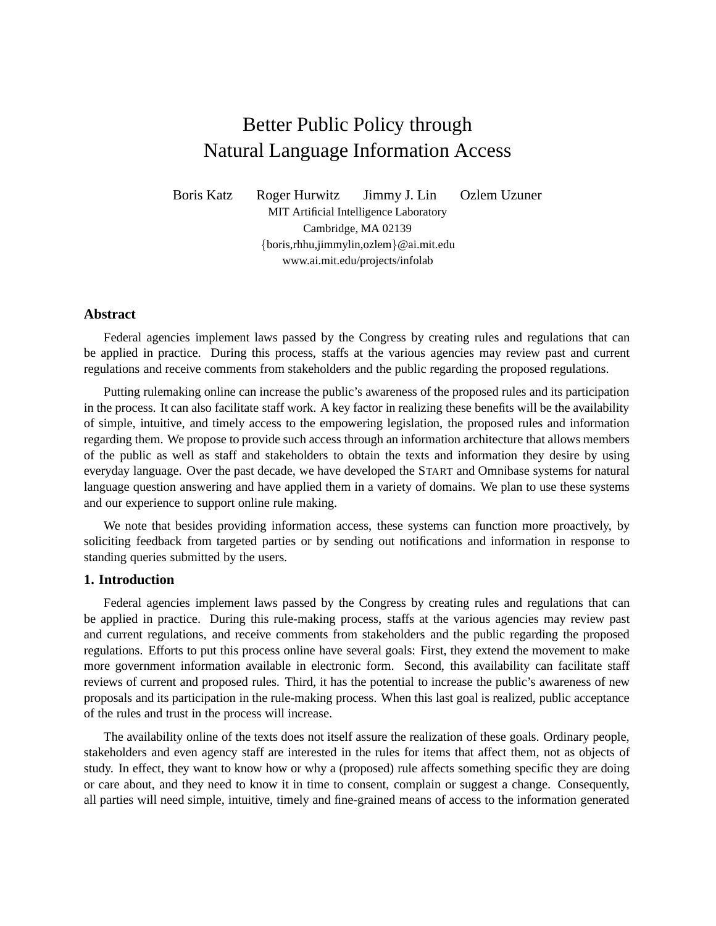# Better Public Policy through Natural Language Information Access

Boris Katz Roger Hurwitz Jimmy J. Lin Ozlem Uzuner MIT Artificial Intelligence Laboratory Cambridge, MA 02139 {boris,rhhu,jimmylin,ozlem}@ai.mit.edu www.ai.mit.edu/projects/infolab

## **Abstract**

Federal agencies implement laws passed by the Congress by creating rules and regulations that can be applied in practice. During this process, staffs at the various agencies may review past and current regulations and receive comments from stakeholders and the public regarding the proposed regulations.

Putting rulemaking online can increase the public's awareness of the proposed rules and its participation in the process. It can also facilitate staff work. A key factor in realizing these benefits will be the availability of simple, intuitive, and timely access to the empowering legislation, the proposed rules and information regarding them. We propose to provide such access through an information architecture that allows members of the public as well as staff and stakeholders to obtain the texts and information they desire by using everyday language. Over the past decade, we have developed the START and Omnibase systems for natural language question answering and have applied them in a variety of domains. We plan to use these systems and our experience to support online rule making.

We note that besides providing information access, these systems can function more proactively, by soliciting feedback from targeted parties or by sending out notifications and information in response to standing queries submitted by the users.

# **1. Introduction**

Federal agencies implement laws passed by the Congress by creating rules and regulations that can be applied in practice. During this rule-making process, staffs at the various agencies may review past and current regulations, and receive comments from stakeholders and the public regarding the proposed regulations. Efforts to put this process online have several goals: First, they extend the movement to make more government information available in electronic form. Second, this availability can facilitate staff reviews of current and proposed rules. Third, it has the potential to increase the public's awareness of new proposals and its participation in the rule-making process. When this last goal is realized, public acceptance of the rules and trust in the process will increase.

The availability online of the texts does not itself assure the realization of these goals. Ordinary people, stakeholders and even agency staff are interested in the rules for items that affect them, not as objects of study. In effect, they want to know how or why a (proposed) rule affects something specific they are doing or care about, and they need to know it in time to consent, complain or suggest a change. Consequently, all parties will need simple, intuitive, timely and fine-grained means of access to the information generated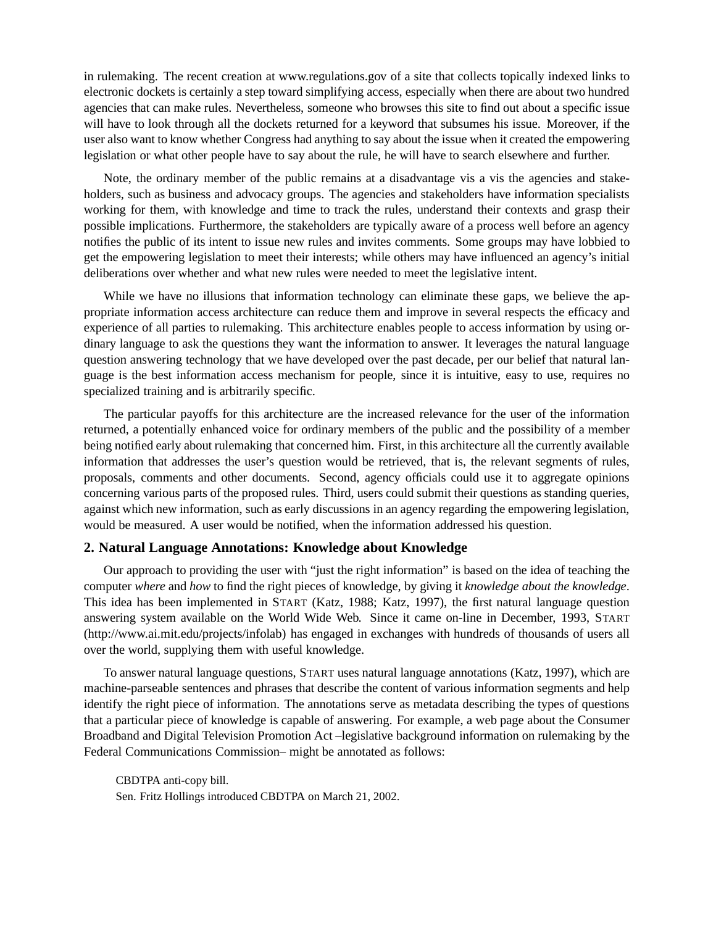in rulemaking. The recent creation at www.regulations.gov of a site that collects topically indexed links to electronic dockets is certainly a step toward simplifying access, especially when there are about two hundred agencies that can make rules. Nevertheless, someone who browses this site to find out about a specific issue will have to look through all the dockets returned for a keyword that subsumes his issue. Moreover, if the user also want to know whether Congress had anything to say about the issue when it created the empowering legislation or what other people have to say about the rule, he will have to search elsewhere and further.

Note, the ordinary member of the public remains at a disadvantage vis a vis the agencies and stakeholders, such as business and advocacy groups. The agencies and stakeholders have information specialists working for them, with knowledge and time to track the rules, understand their contexts and grasp their possible implications. Furthermore, the stakeholders are typically aware of a process well before an agency notifies the public of its intent to issue new rules and invites comments. Some groups may have lobbied to get the empowering legislation to meet their interests; while others may have influenced an agency's initial deliberations over whether and what new rules were needed to meet the legislative intent.

While we have no illusions that information technology can eliminate these gaps, we believe the appropriate information access architecture can reduce them and improve in several respects the efficacy and experience of all parties to rulemaking. This architecture enables people to access information by using ordinary language to ask the questions they want the information to answer. It leverages the natural language question answering technology that we have developed over the past decade, per our belief that natural language is the best information access mechanism for people, since it is intuitive, easy to use, requires no specialized training and is arbitrarily specific.

The particular payoffs for this architecture are the increased relevance for the user of the information returned, a potentially enhanced voice for ordinary members of the public and the possibility of a member being notified early about rulemaking that concerned him. First, in this architecture all the currently available information that addresses the user's question would be retrieved, that is, the relevant segments of rules, proposals, comments and other documents. Second, agency officials could use it to aggregate opinions concerning various parts of the proposed rules. Third, users could submit their questions as standing queries, against which new information, such as early discussions in an agency regarding the empowering legislation, would be measured. A user would be notified, when the information addressed his question.

# **2. Natural Language Annotations: Knowledge about Knowledge**

Our approach to providing the user with "just the right information" is based on the idea of teaching the computer *where* and *how* to find the right pieces of knowledge, by giving it *knowledge about the knowledge*. This idea has been implemented in START (Katz, 1988; Katz, 1997), the first natural language question answering system available on the World Wide Web. Since it came on-line in December, 1993, START (http://www.ai.mit.edu/projects/infolab) has engaged in exchanges with hundreds of thousands of users all over the world, supplying them with useful knowledge.

To answer natural language questions, START uses natural language annotations (Katz, 1997), which are machine-parseable sentences and phrases that describe the content of various information segments and help identify the right piece of information. The annotations serve as metadata describing the types of questions that a particular piece of knowledge is capable of answering. For example, a web page about the Consumer Broadband and Digital Television Promotion Act –legislative background information on rulemaking by the Federal Communications Commission– might be annotated as follows:

CBDTPA anti-copy bill. Sen. Fritz Hollings introduced CBDTPA on March 21, 2002.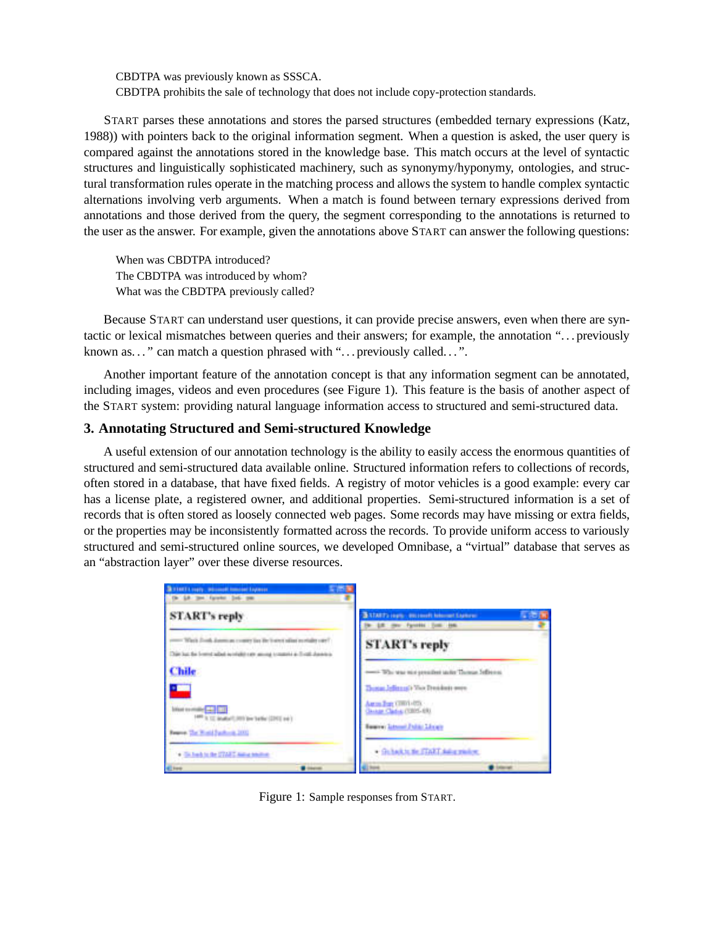CBDTPA was previously known as SSSCA. CBDTPA prohibits the sale of technology that does not include copy-protection standards.

START parses these annotations and stores the parsed structures (embedded ternary expressions (Katz, 1988)) with pointers back to the original information segment. When a question is asked, the user query is compared against the annotations stored in the knowledge base. This match occurs at the level of syntactic structures and linguistically sophisticated machinery, such as synonymy/hyponymy, ontologies, and structural transformation rules operate in the matching process and allows the system to handle complex syntactic alternations involving verb arguments. When a match is found between ternary expressions derived from annotations and those derived from the query, the segment corresponding to the annotations is returned to the user as the answer. For example, given the annotations above START can answer the following questions:

When was CBDTPA introduced? The CBDTPA was introduced by whom? What was the CBDTPA previously called?

Because START can understand user questions, it can provide precise answers, even when there are syntactic or lexical mismatches between queries and their answers; for example, the annotation ". . . previously known as..." can match a question phrased with "... previously called...".

Another important feature of the annotation concept is that any information segment can be annotated, including images, videos and even procedures (see Figure 1). This feature is the basis of another aspect of the START system: providing natural language information access to structured and semi-structured data.

## **3. Annotating Structured and Semi-structured Knowledge**

A useful extension of our annotation technology is the ability to easily access the enormous quantities of structured and semi-structured data available online. Structured information refers to collections of records, often stored in a database, that have fixed fields. A registry of motor vehicles is a good example: every car has a license plate, a registered owner, and additional properties. Semi-structured information is a set of records that is often stored as loosely connected web pages. Some records may have missing or extra fields, or the properties may be inconsistently formatted across the records. To provide uniform access to variously structured and semi-structured online sources, we developed Omnibase, a "virtual" database that serves as an "abstraction layer" over these diverse resources.



Figure 1: Sample responses from START.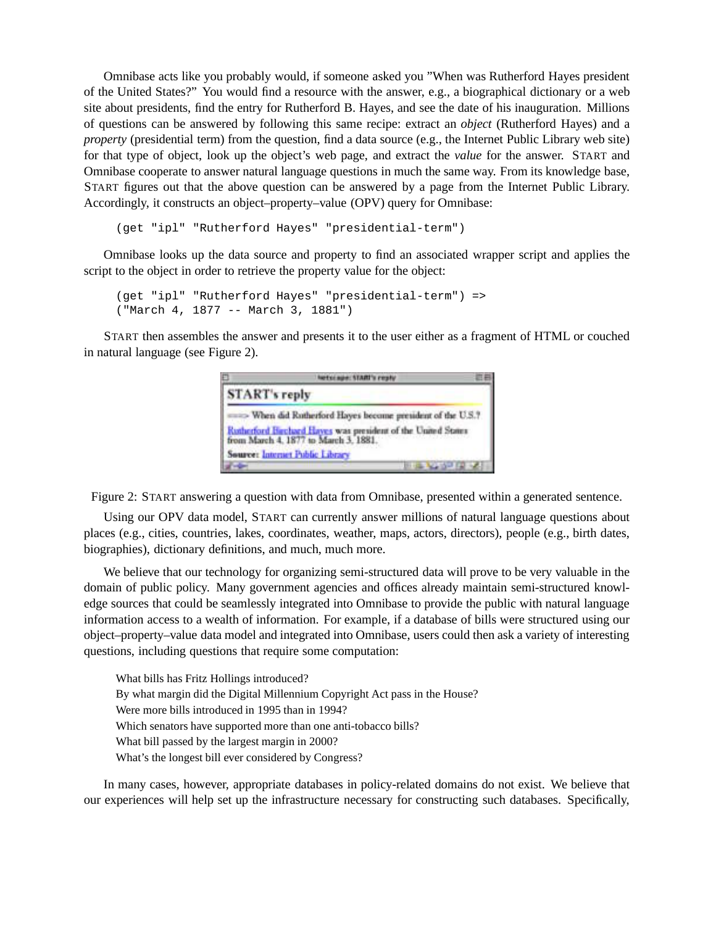Omnibase acts like you probably would, if someone asked you "When was Rutherford Hayes president of the United States?" You would find a resource with the answer, e.g., a biographical dictionary or a web site about presidents, find the entry for Rutherford B. Hayes, and see the date of his inauguration. Millions of questions can be answered by following this same recipe: extract an *object* (Rutherford Hayes) and a *property* (presidential term) from the question, find a data source (e.g., the Internet Public Library web site) for that type of object, look up the object's web page, and extract the *value* for the answer. START and Omnibase cooperate to answer natural language questions in much the same way. From its knowledge base, START figures out that the above question can be answered by a page from the Internet Public Library. Accordingly, it constructs an object–property–value (OPV) query for Omnibase:

(get "ipl" "Rutherford Hayes" "presidential-term")

Omnibase looks up the data source and property to find an associated wrapper script and applies the script to the object in order to retrieve the property value for the object:

```
(get "ipl" "Rutherford Hayes" "presidential-term") =>
("March 4, 1877 -- March 3, 1881")
```
START then assembles the answer and presents it to the user either as a fragment of HTML or couched in natural language (see Figure 2).

| m             | hetclape: START's reply                                                                              |  |
|---------------|------------------------------------------------------------------------------------------------------|--|
| START's reply |                                                                                                      |  |
|               |                                                                                                      |  |
|               | Rutherford Hirchard Hayes was president of the United States<br>from March 4, 1877 to March 3, 1881. |  |
|               | Source: Internet Public Library                                                                      |  |
|               | <b>BOTTLE</b>                                                                                        |  |

Figure 2: START answering a question with data from Omnibase, presented within a generated sentence.

Using our OPV data model, START can currently answer millions of natural language questions about places (e.g., cities, countries, lakes, coordinates, weather, maps, actors, directors), people (e.g., birth dates, biographies), dictionary definitions, and much, much more.

We believe that our technology for organizing semi-structured data will prove to be very valuable in the domain of public policy. Many government agencies and offices already maintain semi-structured knowledge sources that could be seamlessly integrated into Omnibase to provide the public with natural language information access to a wealth of information. For example, if a database of bills were structured using our object–property–value data model and integrated into Omnibase, users could then ask a variety of interesting questions, including questions that require some computation:

What bills has Fritz Hollings introduced? By what margin did the Digital Millennium Copyright Act pass in the House? Were more bills introduced in 1995 than in 1994? Which senators have supported more than one anti-tobacco bills? What bill passed by the largest margin in 2000? What's the longest bill ever considered by Congress?

In many cases, however, appropriate databases in policy-related domains do not exist. We believe that our experiences will help set up the infrastructure necessary for constructing such databases. Specifically,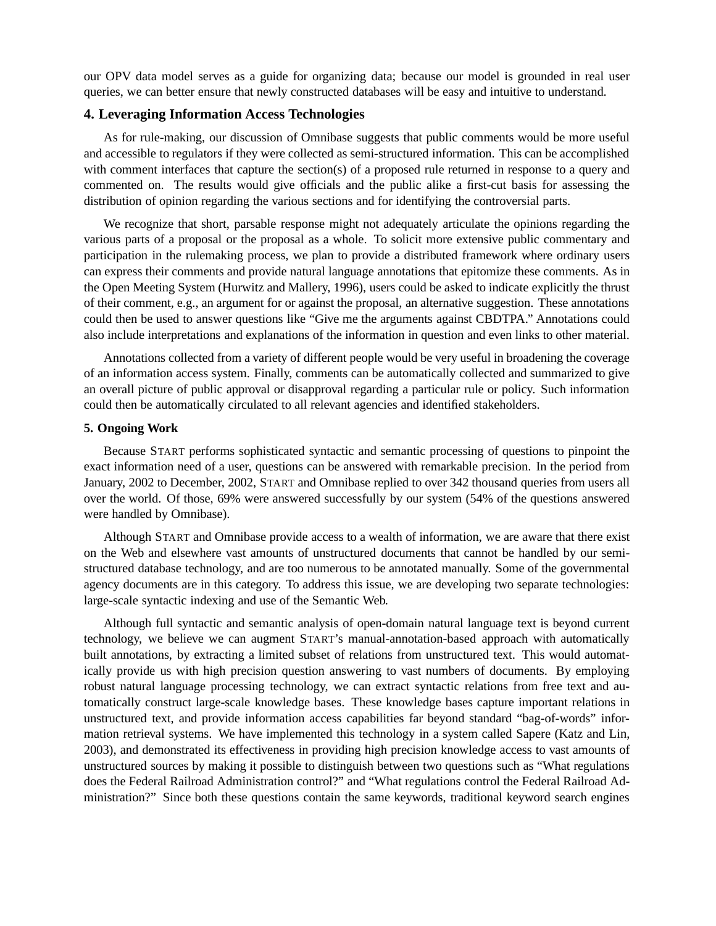our OPV data model serves as a guide for organizing data; because our model is grounded in real user queries, we can better ensure that newly constructed databases will be easy and intuitive to understand.

# **4. Leveraging Information Access Technologies**

As for rule-making, our discussion of Omnibase suggests that public comments would be more useful and accessible to regulators if they were collected as semi-structured information. This can be accomplished with comment interfaces that capture the section(s) of a proposed rule returned in response to a query and commented on. The results would give officials and the public alike a first-cut basis for assessing the distribution of opinion regarding the various sections and for identifying the controversial parts.

We recognize that short, parsable response might not adequately articulate the opinions regarding the various parts of a proposal or the proposal as a whole. To solicit more extensive public commentary and participation in the rulemaking process, we plan to provide a distributed framework where ordinary users can express their comments and provide natural language annotations that epitomize these comments. As in the Open Meeting System (Hurwitz and Mallery, 1996), users could be asked to indicate explicitly the thrust of their comment, e.g., an argument for or against the proposal, an alternative suggestion. These annotations could then be used to answer questions like "Give me the arguments against CBDTPA." Annotations could also include interpretations and explanations of the information in question and even links to other material.

Annotations collected from a variety of different people would be very useful in broadening the coverage of an information access system. Finally, comments can be automatically collected and summarized to give an overall picture of public approval or disapproval regarding a particular rule or policy. Such information could then be automatically circulated to all relevant agencies and identified stakeholders.

## **5. Ongoing Work**

Because START performs sophisticated syntactic and semantic processing of questions to pinpoint the exact information need of a user, questions can be answered with remarkable precision. In the period from January, 2002 to December, 2002, START and Omnibase replied to over 342 thousand queries from users all over the world. Of those, 69% were answered successfully by our system (54% of the questions answered were handled by Omnibase).

Although START and Omnibase provide access to a wealth of information, we are aware that there exist on the Web and elsewhere vast amounts of unstructured documents that cannot be handled by our semistructured database technology, and are too numerous to be annotated manually. Some of the governmental agency documents are in this category. To address this issue, we are developing two separate technologies: large-scale syntactic indexing and use of the Semantic Web.

Although full syntactic and semantic analysis of open-domain natural language text is beyond current technology, we believe we can augment START's manual-annotation-based approach with automatically built annotations, by extracting a limited subset of relations from unstructured text. This would automatically provide us with high precision question answering to vast numbers of documents. By employing robust natural language processing technology, we can extract syntactic relations from free text and automatically construct large-scale knowledge bases. These knowledge bases capture important relations in unstructured text, and provide information access capabilities far beyond standard "bag-of-words" information retrieval systems. We have implemented this technology in a system called Sapere (Katz and Lin, 2003), and demonstrated its effectiveness in providing high precision knowledge access to vast amounts of unstructured sources by making it possible to distinguish between two questions such as "What regulations does the Federal Railroad Administration control?" and "What regulations control the Federal Railroad Administration?" Since both these questions contain the same keywords, traditional keyword search engines